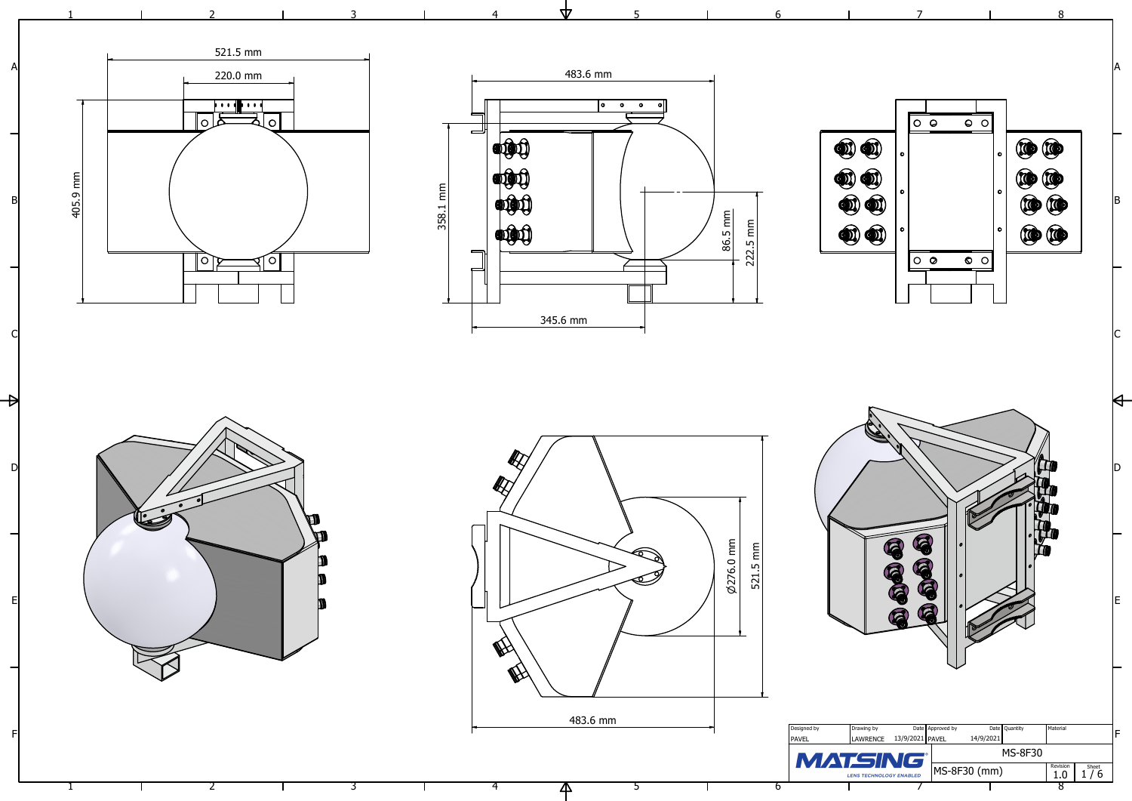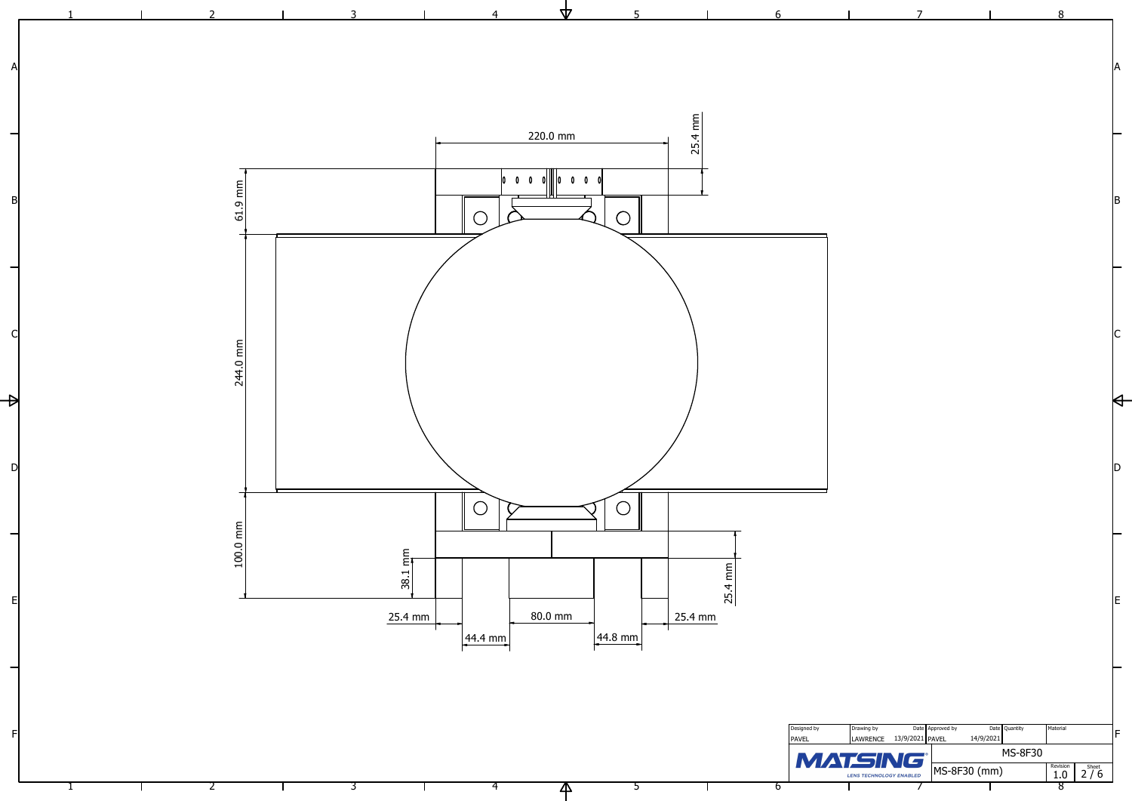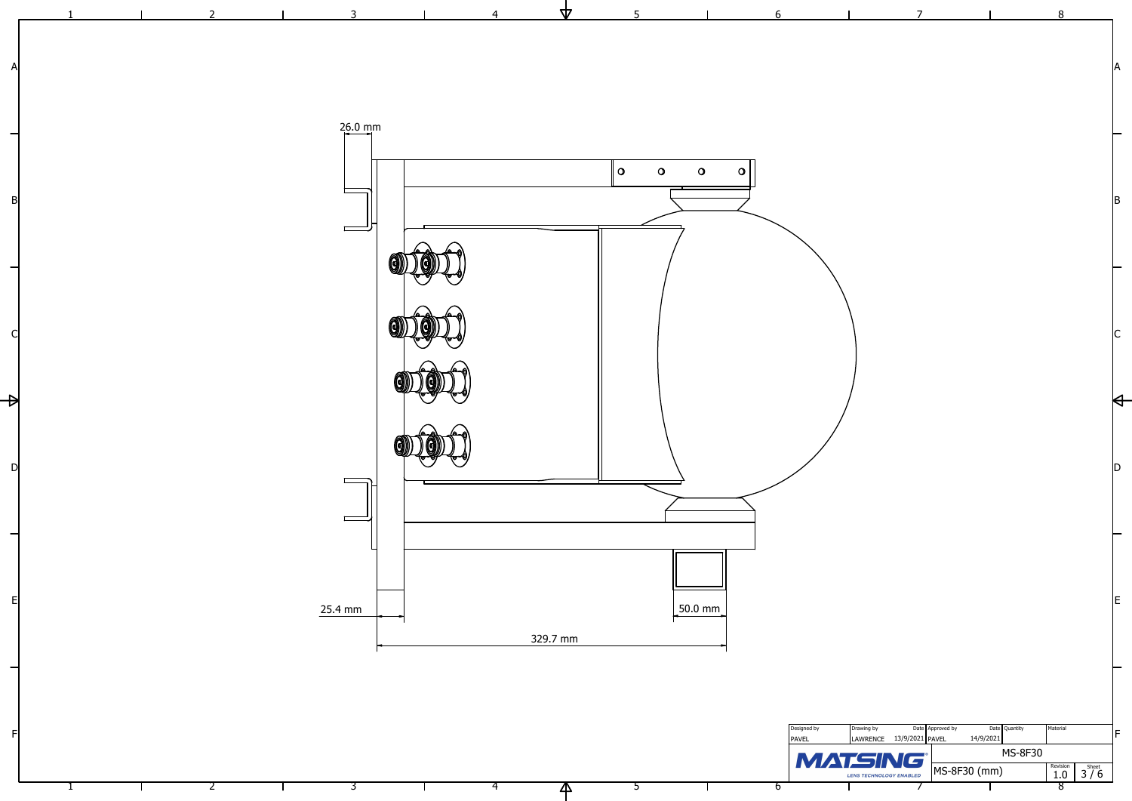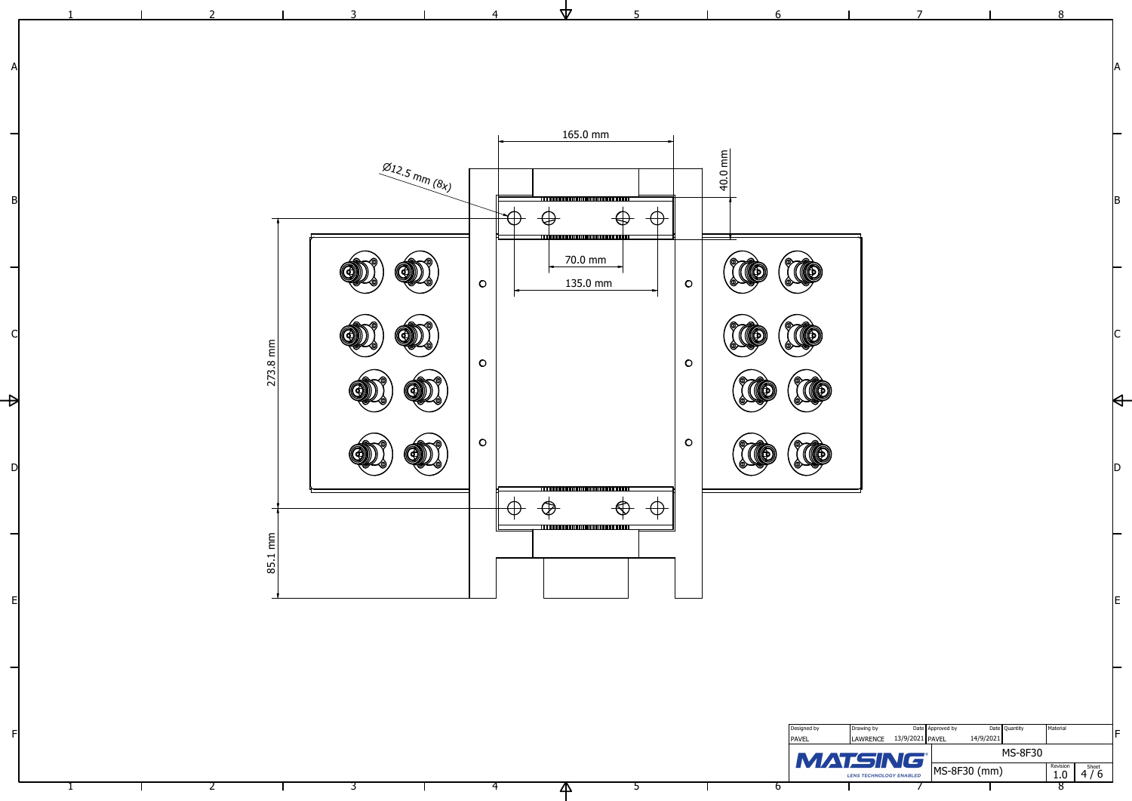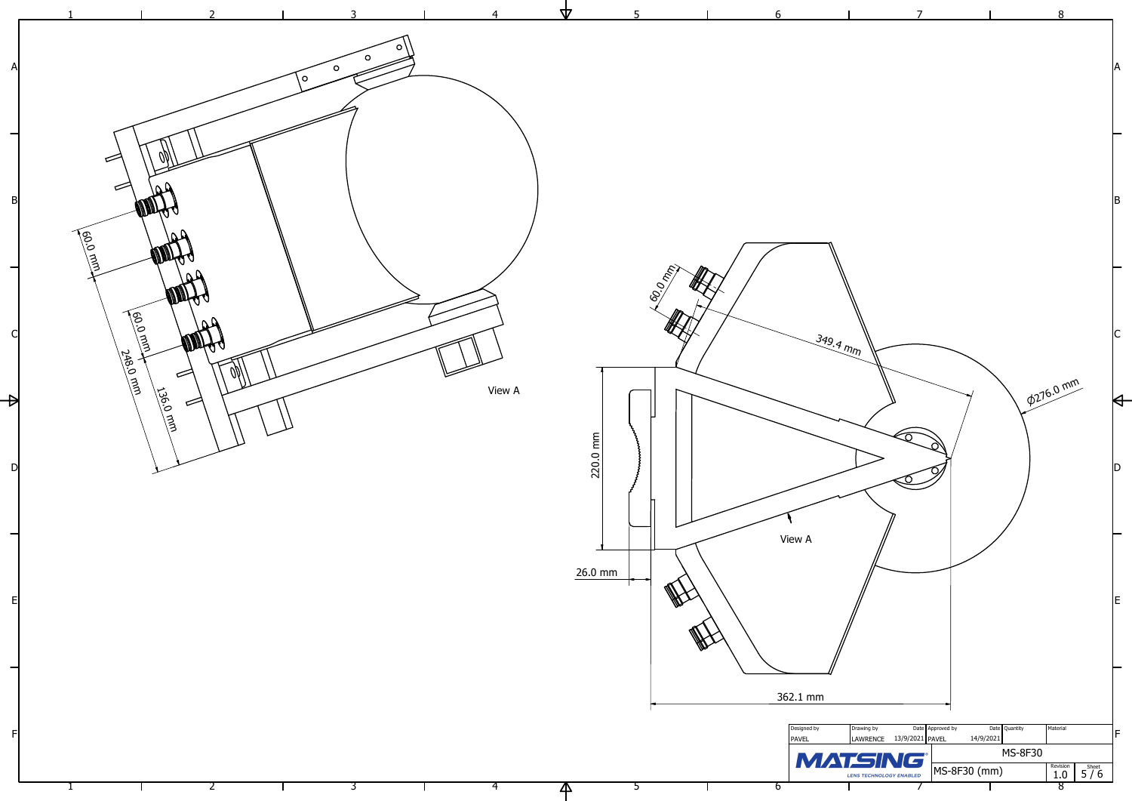